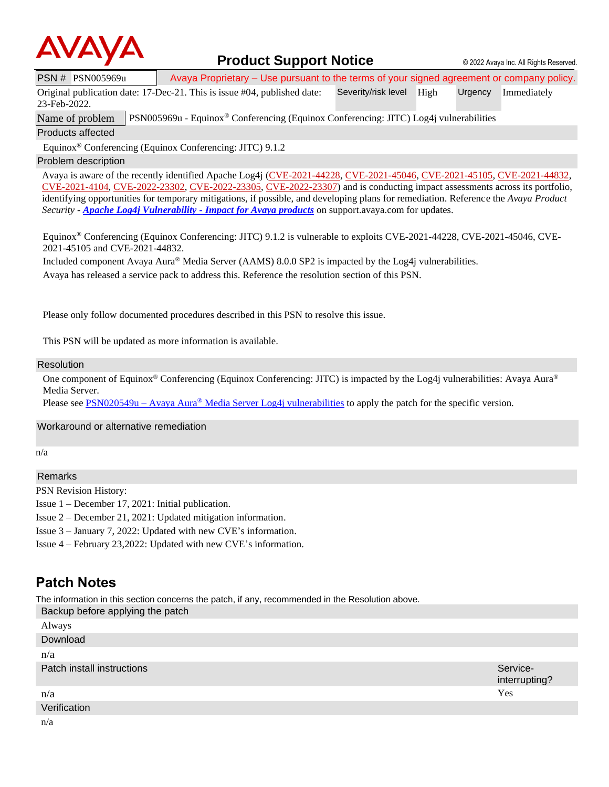

### **Product Support Notice**  $\circ$  2022 Avaya Inc. All Rights Reserved.

PSN # PSN005969u Avaya Proprietary – Use pursuant to the terms of your signed agreement or company policy.

Original publication date: 17-Dec-21. This is issue #04, published date: 23-Feb-2022. Severity/risk level High Urgency Immediately

Name of problem PSN005969u - Equinox® Conferencing (Equinox Conferencing: JITC) Log4j vulnerabilities

Products affected

Equinox® Conferencing (Equinox Conferencing: JITC) 9.1.2

Problem description

Avaya is aware of the recently identified Apache Log4j [\(CVE-2021-44228,](https://cve.mitre.org/cgi-bin/cvename.cgi?name=CVE-2021-44228) [CVE-2021-45046,](https://cve.mitre.org/cgi-bin/cvename.cgi?name=CVE-2021-45046) [CVE-2021-45105,](https://cve.mitre.org/cgi-bin/cvename.cgi?name=CVE-2021-45105) [CVE-2021-44832,](https://cve.mitre.org/cgi-bin/cvename.cgi?name=CVE-2021-44832) [CVE-2021-4104,](https://cve.mitre.org/cgi-bin/cvename.cgi?name=CVE-2021-4104) [CVE-2022-23302,](https://www.cvedetails.com/cve/CVE-2022-23302/) [CVE-2022-23305,](https://www.cvedetails.com/cve/CVE-2022-23305/) [CVE-2022-23307\)](https://www.cvedetails.com/cve/CVE-2022-23307/) and is conducting impact assessments across its portfolio, identifying opportunities for temporary mitigations, if possible, and developing plans for remediation. Reference the *Avaya Product Security - [Apache Log4j Vulnerability -](http://www.avaya.com/emergencyupdate) Impact for Avaya products* on support.avaya.com for updates.

Equinox® Conferencing (Equinox Conferencing: JITC) 9.1.2 is vulnerable to exploits CVE-2021-44228, CVE-2021-45046, CVE-2021-45105 and CVE-2021-44832.

Included component Avaya Aura® Media Server (AAMS) 8.0.0 SP2 is impacted by the Log4j vulnerabilities. Avaya has released a service pack to address this. Reference the resolution section of this PSN.

Please only follow documented procedures described in this PSN to resolve this issue.

This PSN will be updated as more information is available.

#### Resolution

One component of Equinox<sup>®</sup> Conferencing (Equinox Conferencing: JITC) is impacted by the Log4j vulnerabilities: Avaya Aura<sup>®</sup> Media Server.

Please see PSN020549u – Avaya Aura® [Media Server Log4j vulnerabilities](https://download.avaya.com/css/public/documents/101079316) to apply the patch for the specific version.

Workaround or alternative remediation

n/a

#### Remarks

PSN Revision History:

Issue 1 – December 17, 2021: Initial publication.

Issue 2 – December 21, 2021: Updated mitigation information.

Issue 3 – January 7, 2022: Updated with new CVE's information.

Issue 4 – February 23,2022: Updated with new CVE's information.

## **Patch Notes**

The information in this section concerns the patch, if any, recommended in the Resolution above.

| Backup before applying the patch |                           |
|----------------------------------|---------------------------|
| Always                           |                           |
| Download                         |                           |
| n/a                              |                           |
| Patch install instructions       | Service-<br>interrupting? |
| n/a                              | Yes                       |
| Verification                     |                           |
| $\sim l$ .                       |                           |

n/a